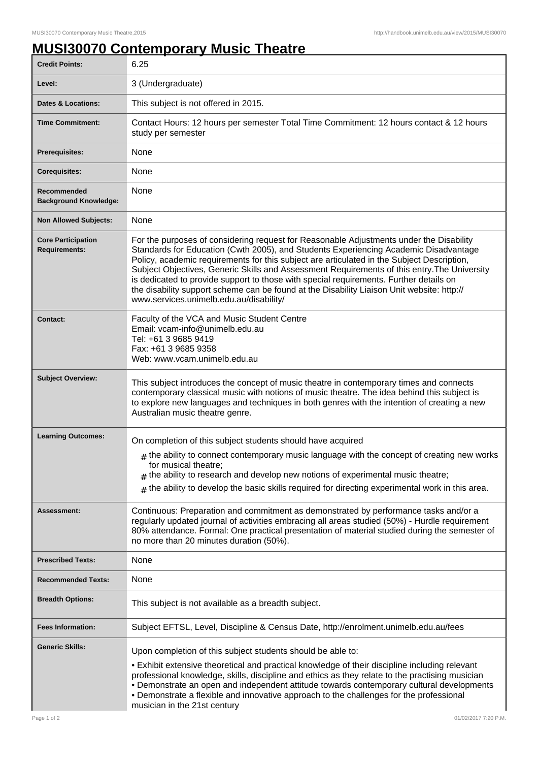## **MUSI30070 Contemporary Music Theatre**

| <b>Credit Points:</b>                             | 6.25                                                                                                                                                                                                                                                                                                                                                                                                                                                                                                                                                                                                             |
|---------------------------------------------------|------------------------------------------------------------------------------------------------------------------------------------------------------------------------------------------------------------------------------------------------------------------------------------------------------------------------------------------------------------------------------------------------------------------------------------------------------------------------------------------------------------------------------------------------------------------------------------------------------------------|
| Level:                                            | 3 (Undergraduate)                                                                                                                                                                                                                                                                                                                                                                                                                                                                                                                                                                                                |
| <b>Dates &amp; Locations:</b>                     | This subject is not offered in 2015.                                                                                                                                                                                                                                                                                                                                                                                                                                                                                                                                                                             |
| <b>Time Commitment:</b>                           | Contact Hours: 12 hours per semester Total Time Commitment: 12 hours contact & 12 hours<br>study per semester                                                                                                                                                                                                                                                                                                                                                                                                                                                                                                    |
| Prerequisites:                                    | None                                                                                                                                                                                                                                                                                                                                                                                                                                                                                                                                                                                                             |
| <b>Corequisites:</b>                              | None                                                                                                                                                                                                                                                                                                                                                                                                                                                                                                                                                                                                             |
| Recommended<br><b>Background Knowledge:</b>       | None                                                                                                                                                                                                                                                                                                                                                                                                                                                                                                                                                                                                             |
| <b>Non Allowed Subjects:</b>                      | None                                                                                                                                                                                                                                                                                                                                                                                                                                                                                                                                                                                                             |
| <b>Core Participation</b><br><b>Requirements:</b> | For the purposes of considering request for Reasonable Adjustments under the Disability<br>Standards for Education (Cwth 2005), and Students Experiencing Academic Disadvantage<br>Policy, academic requirements for this subject are articulated in the Subject Description,<br>Subject Objectives, Generic Skills and Assessment Requirements of this entry. The University<br>is dedicated to provide support to those with special requirements. Further details on<br>the disability support scheme can be found at the Disability Liaison Unit website: http://<br>www.services.unimelb.edu.au/disability/ |
| Contact:                                          | Faculty of the VCA and Music Student Centre<br>Email: vcam-info@unimelb.edu.au<br>Tel: +61 3 9685 9419<br>Fax: +61 3 9685 9358<br>Web: www.vcam.unimelb.edu.au                                                                                                                                                                                                                                                                                                                                                                                                                                                   |
| <b>Subject Overview:</b>                          | This subject introduces the concept of music theatre in contemporary times and connects<br>contemporary classical music with notions of music theatre. The idea behind this subject is<br>to explore new languages and techniques in both genres with the intention of creating a new<br>Australian music theatre genre.                                                                                                                                                                                                                                                                                         |
| <b>Learning Outcomes:</b>                         | On completion of this subject students should have acquired<br>$#$ the ability to connect contemporary music language with the concept of creating new works<br>for musical theatre;<br>$#$ the ability to research and develop new notions of experimental music theatre;<br>$#$ the ability to develop the basic skills required for directing experimental work in this area.                                                                                                                                                                                                                                 |
| Assessment:                                       | Continuous: Preparation and commitment as demonstrated by performance tasks and/or a<br>regularly updated journal of activities embracing all areas studied (50%) - Hurdle requirement<br>80% attendance. Formal: One practical presentation of material studied during the semester of<br>no more than 20 minutes duration (50%).                                                                                                                                                                                                                                                                               |
| <b>Prescribed Texts:</b>                          | None                                                                                                                                                                                                                                                                                                                                                                                                                                                                                                                                                                                                             |
| <b>Recommended Texts:</b>                         | None                                                                                                                                                                                                                                                                                                                                                                                                                                                                                                                                                                                                             |
| <b>Breadth Options:</b>                           | This subject is not available as a breadth subject.                                                                                                                                                                                                                                                                                                                                                                                                                                                                                                                                                              |
| <b>Fees Information:</b>                          | Subject EFTSL, Level, Discipline & Census Date, http://enrolment.unimelb.edu.au/fees                                                                                                                                                                                                                                                                                                                                                                                                                                                                                                                             |
| <b>Generic Skills:</b>                            | Upon completion of this subject students should be able to:                                                                                                                                                                                                                                                                                                                                                                                                                                                                                                                                                      |
|                                                   | • Exhibit extensive theoretical and practical knowledge of their discipline including relevant<br>professional knowledge, skills, discipline and ethics as they relate to the practising musician<br>• Demonstrate an open and independent attitude towards contemporary cultural developments<br>• Demonstrate a flexible and innovative approach to the challenges for the professional<br>musician in the 21st century                                                                                                                                                                                        |